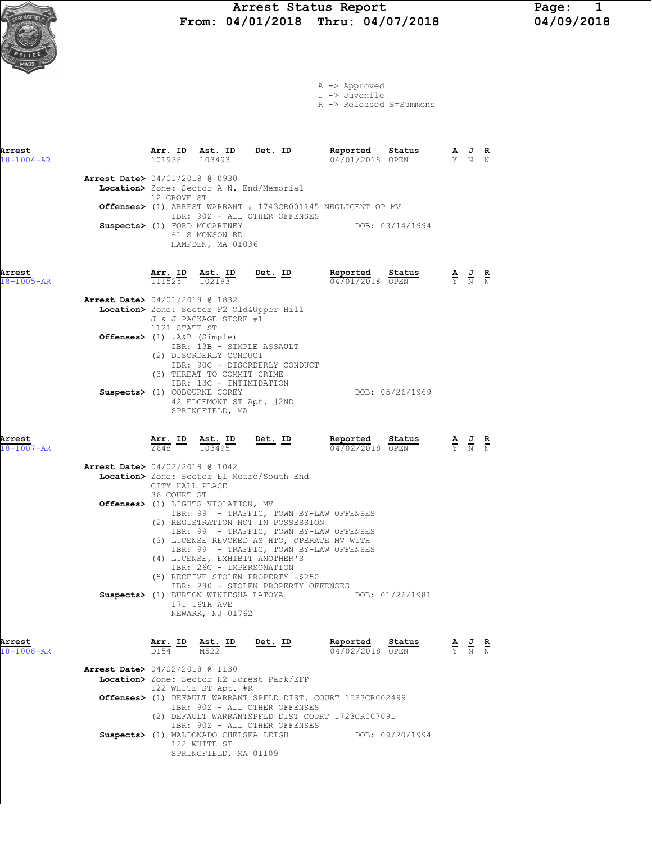# Arrest Status Report Page: 1<br>04/01/2018 Thru: 04/07/2018 04/09/2018  $\sum_{\text{NGEPE}(t)}$  From: 04/01/2018 Thru: 04/07/2018



A -> Approved J -> Juvenile

R -> Released S=Summons

| Arrest<br>$18 - 1004 - AR$ |                                                                                       |                          | $\frac{\texttt{Arr.}}{101938}$ $\frac{\texttt{ Ast.}}{103493}$                                                     |                                | Ast. ID Det. ID |           | Reported<br>04/01/2018 OPEN                                                                                                       | Status          |                                                                                                 | $\frac{\mathbf{A}}{\mathbf{Y}}$ $\frac{\mathbf{J}}{\mathbf{N}}$ $\frac{\mathbf{R}}{\mathbf{N}}$ |  |
|----------------------------|---------------------------------------------------------------------------------------|--------------------------|--------------------------------------------------------------------------------------------------------------------|--------------------------------|-----------------|-----------|-----------------------------------------------------------------------------------------------------------------------------------|-----------------|-------------------------------------------------------------------------------------------------|-------------------------------------------------------------------------------------------------|--|
|                            | <b>Arrest Date&gt;</b> 04/01/2018 @ 0930<br>Location> Zone: Sector A N. End/Memorial  | 12 GROVE ST              | IBR: 90Z - ALL OTHER OFFENSES                                                                                      |                                |                 |           | Offenses> (1) ARREST WARRANT # 1743CR001145 NEGLIGENT OP MV                                                                       |                 |                                                                                                 |                                                                                                 |  |
|                            | Suspects> (1) FORD MCCARTNEY                                                          |                          | 61 S MONSON RD<br>HAMPDEN, MA 01036                                                                                |                                |                 |           |                                                                                                                                   | DOB: 03/14/1994 |                                                                                                 |                                                                                                 |  |
| Arrest<br>18-1005-AR       |                                                                                       | <u>Arr. ID</u><br>111525 |                                                                                                                    | $\frac{\texttt{Ast.}}{102193}$ |                 | $Det. ID$ | Reported<br>04/01/2018 OPEN                                                                                                       | Status          | $\frac{\mathbf{A}}{\mathbf{Y}}$ $\frac{\mathbf{J}}{\mathbf{N}}$ $\frac{\mathbf{R}}{\mathbf{N}}$ |                                                                                                 |  |
|                            | Arrest Date> 04/01/2018 @ 1832<br>Location> Zone: Sector F2 Old&Upper Hill            |                          | J & J PACKAGE STORE #1<br>1121 STATE ST                                                                            |                                |                 |           |                                                                                                                                   |                 |                                                                                                 |                                                                                                 |  |
|                            | Offenses> (1) .A&B (Simple)                                                           |                          | IBR: 13B - SIMPLE ASSAULT<br>(2) DISORDERLY CONDUCT<br>IBR: 90C - DISORDERLY CONDUCT<br>(3) THREAT TO COMMIT CRIME |                                |                 |           |                                                                                                                                   |                 |                                                                                                 |                                                                                                 |  |
|                            | Suspects> (1) COBOURNE COREY                                                          |                          | IBR: 13C - INTIMIDATION<br>42 EDGEMONT ST Apt. #2ND<br>SPRINGFIELD, MA                                             |                                |                 |           |                                                                                                                                   | DOB: 05/26/1969 |                                                                                                 |                                                                                                 |  |
| Arrest<br>18-1007-AR       |                                                                                       |                          | $\frac{\texttt{Arr.}}{2648}$ ID $\frac{\texttt{ Ast.}}{103495}$                                                    |                                |                 | $Det. ID$ | Reported Status<br>04/02/2018 OPEN                                                                                                |                 |                                                                                                 | $\frac{\mathbf{A}}{\mathbf{Y}}$ $\frac{\mathbf{J}}{\mathbf{N}}$ $\frac{\mathbf{K}}{\mathbf{N}}$ |  |
|                            | <b>Arrest Date&gt;</b> 04/02/2018 @ 1042<br>Location> Zone: Sector E1 Metro/South End | 36 COURT ST              | CITY HALL PLACE                                                                                                    |                                |                 |           |                                                                                                                                   |                 |                                                                                                 |                                                                                                 |  |
|                            | Offenses> (1) LIGHTS VIOLATION, MV                                                    |                          | (2) REGISTRATION NOT IN POSSESSION                                                                                 |                                |                 |           | IBR: 99 - TRAFFIC, TOWN BY-LAW OFFENSES<br>IBR: 99 - TRAFFIC, TOWN BY-LAW OFFENSES<br>(3) LICENSE REVOKED AS HTO, OPERATE MV WITH |                 |                                                                                                 |                                                                                                 |  |
|                            |                                                                                       |                          | (4) LICENSE, EXHIBIT ANOTHER'S<br>IBR: 26C - IMPERSONATION<br>(5) RECEIVE STOLEN PROPERTY -\$250                   |                                |                 |           | IBR: 99 - TRAFFIC, TOWN BY-LAW OFFENSES<br>IBR: 280 - STOLEN PROPERTY OFFENSES                                                    |                 |                                                                                                 |                                                                                                 |  |
|                            | Suspects> (1) BURTON WINIESHA LATOYA                                                  |                          | 171 16TH AVE<br>NEWARK, NJ 01762                                                                                   |                                |                 |           | DOB: 01/26/1981                                                                                                                   |                 |                                                                                                 |                                                                                                 |  |
| Arrest<br>18-1008-AR       |                                                                                       |                          | $\frac{\texttt{Arr.}}{\texttt{D154}}$ ID $\frac{\texttt{ Ast.}}{\texttt{M522}}$ ID Det. ID                         |                                |                 |           | Reported Status<br>$\frac{04}{02}/\frac{2018}{20}$ OPEN                                                                           |                 |                                                                                                 | $\frac{\mathbf{A}}{\mathbf{Y}}$ $\frac{\mathbf{J}}{\mathbf{N}}$ $\frac{\mathbf{R}}{\mathbf{N}}$ |  |
|                            | Arrest Date> 04/02/2018 @ 1130<br>Location> Zone: Sector H2 Forest Park/EFP           |                          | 122 WHITE ST Apt. #R                                                                                               |                                |                 |           |                                                                                                                                   |                 |                                                                                                 |                                                                                                 |  |
|                            |                                                                                       |                          | IBR: 90Z - ALL OTHER OFFENSES                                                                                      |                                |                 |           | Offenses> (1) DEFAULT WARRANT SPFLD DIST. COURT 1523CR002499<br>(2) DEFAULT WARRANTSPFLD DIST COURT 1723CR007091                  |                 |                                                                                                 |                                                                                                 |  |
|                            | Suspects> (1) MALDONADO CHELSEA LEIGH                                                 |                          | IBR: 90Z - ALL OTHER OFFENSES<br>122 WHITE ST<br>SPRINGFIELD, MA 01109                                             |                                |                 |           |                                                                                                                                   | DOB: 09/20/1994 |                                                                                                 |                                                                                                 |  |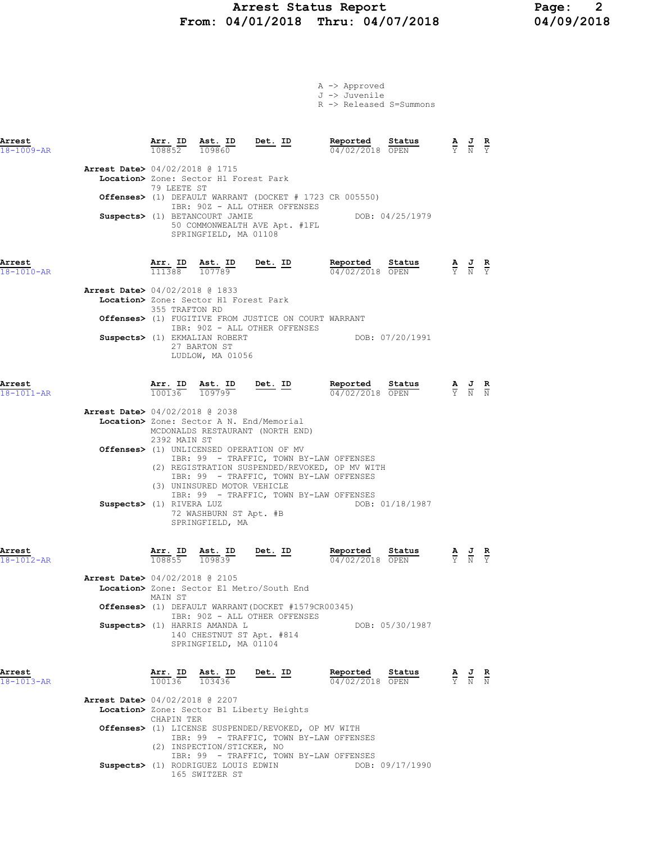## Arrest Status Report Page: 2 From: 04/01/2018 Thru: 04/07/2018 04/09/2018

A -> Approved

|                                          |                                |                                                                                     |                                                                                                                                                                                  | J -> Juvenile<br>R -> Released S=Summons |                 |                                                                                                       |  |
|------------------------------------------|--------------------------------|-------------------------------------------------------------------------------------|----------------------------------------------------------------------------------------------------------------------------------------------------------------------------------|------------------------------------------|-----------------|-------------------------------------------------------------------------------------------------------|--|
| Arrest<br>$18 - 1009 - AR$               |                                | $\frac{\texttt{Arr.}}{108852}$ $\frac{\texttt{Ab.}}{109860}$                        | $Det.  ID$                                                                                                                                                                       | Reported<br>04/02/2018 OPEN              | Status          | $\frac{\mathbf{A}}{\mathbf{Y}}$ $\frac{\mathbf{J}}{\mathbf{N}}$ $\frac{\mathbf{R}}{\mathbf{Y}}$       |  |
| Arrest Date> 04/02/2018 @ 1715           | 79 LEETE ST                    | Location> Zone: Sector H1 Forest Park                                               |                                                                                                                                                                                  |                                          |                 |                                                                                                       |  |
|                                          |                                |                                                                                     | Offenses> (1) DEFAULT WARRANT (DOCKET # 1723 CR 005550)<br>IBR: 90Z - ALL OTHER OFFENSES                                                                                         |                                          |                 |                                                                                                       |  |
|                                          |                                | Suspects> (1) BETANCOURT JAMIE<br>SPRINGFIELD, MA 01108                             | 50 COMMONWEALTH AVE Apt. #1FL                                                                                                                                                    |                                          | DOB: 04/25/1979 |                                                                                                       |  |
| Arrest<br>18-1010-AR                     |                                |                                                                                     | $\frac{\texttt{Arr.}}{111388}$ $\frac{\texttt{ Ast.}}{107789}$ $\frac{\texttt{Det.}}{20789}$                                                                                     | Reported<br>04/02/2018 OPEN              | Status          | $\frac{\mathbf{A}}{\overline{Y}}$ $\frac{\mathbf{J}}{\overline{N}}$ $\frac{\mathbf{R}}{\overline{Y}}$ |  |
| <b>Arrest Date&gt;</b> 04/02/2018 @ 1833 | 355 TRAFTON RD                 | Location> Zone: Sector H1 Forest Park                                               |                                                                                                                                                                                  |                                          |                 |                                                                                                       |  |
|                                          |                                |                                                                                     | Offenses> (1) FUGITIVE FROM JUSTICE ON COURT WARRANT<br>IBR: 90Z - ALL OTHER OFFENSES                                                                                            |                                          |                 |                                                                                                       |  |
|                                          |                                | Suspects> (1) EKMALIAN ROBERT<br>27 BARTON ST<br>LUDLOW, MA 01056                   |                                                                                                                                                                                  | DOB: 07/20/1991                          |                 |                                                                                                       |  |
| Arrest<br>$18 - 1011 - AR$               | $\frac{\texttt{Arr.}}{100136}$ | $\frac{\texttt{Ast.}}{109799}$                                                      | <u>Det.</u> ID                                                                                                                                                                   | Reported<br>04/02/2018 OPEN              | Status          | $\frac{\mathbf{A}}{\mathbf{Y}}$ $\frac{\mathbf{J}}{\mathbf{N}}$ $\frac{\mathbf{R}}{\mathbf{N}}$       |  |
| <b>Arrest Date&gt;</b> 04/02/2018 @ 2038 | 2392 MAIN ST                   |                                                                                     | Location> Zone: Sector A N. End/Memorial<br>MCDONALDS RESTAURANT (NORTH END)                                                                                                     |                                          |                 |                                                                                                       |  |
|                                          |                                |                                                                                     | Offenses> (1) UNLICENSED OPERATION OF MV<br>IBR: 99 - TRAFFIC, TOWN BY-LAW OFFENSES<br>(2) REGISTRATION SUSPENDED/REVOKED, OP MV WITH<br>IBR: 99 - TRAFFIC, TOWN BY-LAW OFFENSES |                                          |                 |                                                                                                       |  |
| Suspects> (1) RIVERA LUZ                 |                                | (3) UNINSURED MOTOR VEHICLE<br>72 WASHBURN ST Apt. #B<br>SPRINGFIELD, MA            | IBR: 99 - TRAFFIC, TOWN BY-LAW OFFENSES                                                                                                                                          |                                          | DOB: 01/18/1987 |                                                                                                       |  |
| Arrest<br>18-1012-AR                     | Arr. ID<br>108855 109839       | Ast. ID                                                                             | <u>Det. ID</u>                                                                                                                                                                   | Reported<br>04/02/2018 OPEN              | Status          | $\frac{\mathbf{A}}{\mathbf{Y}}$ $\frac{\mathbf{J}}{\mathbf{N}}$ $\frac{\mathbf{R}}{\mathbf{Y}}$       |  |
| Arrest Date> 04/02/2018 @ 2105           | MAIN ST                        |                                                                                     | Location> Zone: Sector E1 Metro/South End                                                                                                                                        |                                          |                 |                                                                                                       |  |
|                                          |                                |                                                                                     | <b>Offenses&gt;</b> (1) DEFAULT WARRANT(DOCKET #1579CR00345)<br>IBR: 90Z - ALL OTHER OFFENSES                                                                                    |                                          |                 |                                                                                                       |  |
|                                          |                                | Suspects> (1) HARRIS AMANDA L<br>140 CHESTNUT ST Apt. #814<br>SPRINGFIELD, MA 01104 |                                                                                                                                                                                  |                                          | DOB: 05/30/1987 |                                                                                                       |  |
| Arrest<br>18-1013-AR                     | Arr. ID<br>100136              | Ast. ID<br>103436                                                                   | <u>Det. ID</u>                                                                                                                                                                   | Reported<br>04/02/2018 OPEN              | Status          | $\frac{\mathbf{A}}{\mathbf{Y}}$ $\frac{\mathbf{J}}{\mathbf{N}}$ $\frac{\mathbf{R}}{\mathbf{N}}$       |  |
| <b>Arrest Date&gt;</b> 04/02/2018 @ 2207 |                                |                                                                                     | Location> Zone: Sector B1 Liberty Heights                                                                                                                                        |                                          |                 |                                                                                                       |  |
|                                          | CHAPIN TER                     | (2) INSPECTION/STICKER, NO                                                          | Offenses> (1) LICENSE SUSPENDED/REVOKED, OP MV WITH<br>IBR: 99 - TRAFFIC, TOWN BY-LAW OFFENSES<br>IBR: 99 - TRAFFIC, TOWN BY-LAW OFFENSES                                        |                                          |                 |                                                                                                       |  |

Suspects> (1) RODRIGUEZ LOUIS EDWIN DOB: 09/17/1990 165 SWITZER ST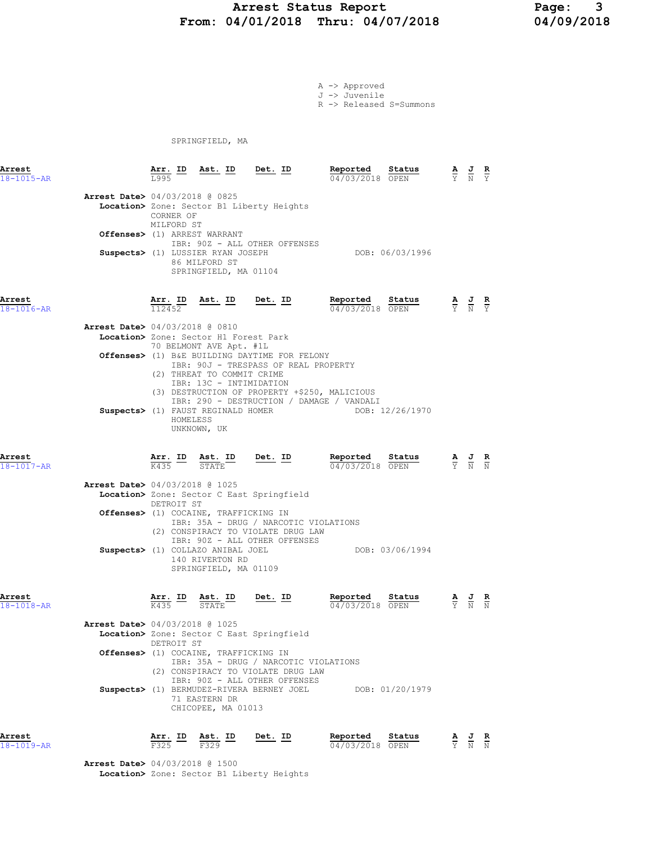# Arrest Status Report 1994/01/2018 Page: 3<br>04/01/2018 Thru: 04/07/2018 04/09/2018 From: 04/01/2018 Thru: 04/07/2018

A -> Approved J -> Juvenile

R -> Released S=Summons

SPRINGFIELD, MA

| Arrest<br>18-1015-AR       |                                          | Arr. ID<br>L995         | Ast. ID                                                                                 | Det. ID                                                                               | Reported<br>Status<br>04/03/2018 OPEN                        |    | $\frac{\mathbf{A}}{\mathbf{Y}}$ $\frac{\mathbf{J}}{\mathbf{N}}$ | R<br>$\overline{Y}$  |
|----------------------------|------------------------------------------|-------------------------|-----------------------------------------------------------------------------------------|---------------------------------------------------------------------------------------|--------------------------------------------------------------|----|-----------------------------------------------------------------|----------------------|
|                            | <b>Arrest Date&gt;</b> 04/03/2018 @ 0825 | CORNER OF<br>MILFORD ST |                                                                                         | Location> Zone: Sector B1 Liberty Heights                                             |                                                              |    |                                                                 |                      |
|                            |                                          |                         | Offenses> (1) ARREST WARRANT                                                            | IBR: 90Z - ALL OTHER OFFENSES                                                         |                                                              |    |                                                                 |                      |
|                            |                                          |                         | Suspects> (1) LUSSIER RYAN JOSEPH<br>86 MILFORD ST<br>SPRINGFIELD, MA 01104             |                                                                                       | DOB: 06/03/1996                                              |    |                                                                 |                      |
| Arrest<br>18-1016-AR       |                                          | 112452                  | $\frac{\text{Arr. ID}}{\text{max. ID}}$ Ast. ID Det. ID                                 |                                                                                       | Reported<br>Status<br>$\overline{04/03/2018}$ OPEN           |    | $\frac{A}{Y}$ $\frac{J}{N}$ $\frac{R}{Y}$                       |                      |
|                            | <b>Arrest Date&gt;</b> 04/03/2018 @ 0810 |                         |                                                                                         |                                                                                       |                                                              |    |                                                                 |                      |
|                            |                                          |                         | Location> Zone: Sector H1 Forest Park<br>70 BELMONT AVE Apt. #1L                        |                                                                                       |                                                              |    |                                                                 |                      |
|                            |                                          |                         | (2) THREAT TO COMMIT CRIME<br>IBR: 13C - INTIMIDATION                                   | Offenses> (1) B&E BUILDING DAYTIME FOR FELONY<br>IBR: 90J - TRESPASS OF REAL PROPERTY |                                                              |    |                                                                 |                      |
|                            |                                          | HOMELESS                | UNKNOWN, UK                                                                             | (3) DESTRUCTION OF PROPERTY +\$250, MALICIOUS<br>Suspects> (1) FAUST REGINALD HOMER   | IBR: 290 - DESTRUCTION / DAMAGE / VANDALI<br>DOB: 12/26/1970 |    |                                                                 |                      |
| Arrest<br>$18 - 1017 - AR$ |                                          |                         | $\frac{\texttt{Arr.}}{\text{K435}}$ ID $\frac{\texttt{ Ast.}}{\text{STATE}}$ ID Det. ID |                                                                                       | Reported<br>Status<br>04/03/2018 OPEN                        |    | $\frac{\mathbf{A}}{\mathbf{Y}}$ $\frac{\mathbf{J}}{\mathbf{N}}$ | $rac{\mathbf{R}}{N}$ |
|                            | <b>Arrest Date&gt;</b> 04/03/2018 @ 1025 | DETROIT ST              |                                                                                         | Location> Zone: Sector C East Springfield                                             |                                                              |    |                                                                 |                      |
|                            |                                          |                         | Offenses> (1) COCAINE, TRAFFICKING IN                                                   | IBR: 35A - DRUG / NARCOTIC VIOLATIONS<br>(2) CONSPIRACY TO VIOLATE DRUG LAW           |                                                              |    |                                                                 |                      |
|                            |                                          |                         | Suspects> (1) COLLAZO ANIBAL JOEL<br>140 RIVERTON RD<br>SPRINGFIELD, MA 01109           | IBR: 90Z - ALL OTHER OFFENSES                                                         | DOB: 03/06/1994                                              |    |                                                                 |                      |
| Arrest<br>$18 - 1018 - AR$ |                                          | K435                    | Arr. ID Ast. ID<br>STATE                                                                | <u>Det. ID</u>                                                                        | Reported Status<br>04/03/2018 OPEN                           |    | $\frac{1}{N}$                                                   |                      |
|                            | <b>Arrest Date&gt;</b> 04/03/2018 @ 1025 | DETROIT ST              |                                                                                         | Location> Zone: Sector C East Springfield                                             |                                                              |    |                                                                 |                      |
|                            |                                          |                         | Offenses> (1) COCAINE, TRAFFICKING IN                                                   | IBR: 35A - DRUG / NARCOTIC VIOLATIONS<br>(2) CONSPIRACY TO VIOLATE DRUG LAW           |                                                              |    |                                                                 |                      |
|                            |                                          |                         | 71 EASTERN DR<br>CHICOPEE, MA 01013                                                     | IBR: 90Z - ALL OTHER OFFENSES<br>Suspects> (1) BERMUDEZ-RIVERA BERNEY JOEL            | DOB: 01/20/1979                                              |    |                                                                 |                      |
| Arrest<br>18-1019-AR       |                                          | Arr. ID<br>F325         | Ast. ID<br>F329                                                                         | Det. ID                                                                               | Reported<br>Status<br>04/03/2018 OPEN                        | Ÿ. | $\frac{J}{N}$                                                   | R<br>$\overline{N}$  |

 Arrest Date> 04/03/2018 @ 1500 Location> Zone: Sector B1 Liberty Heights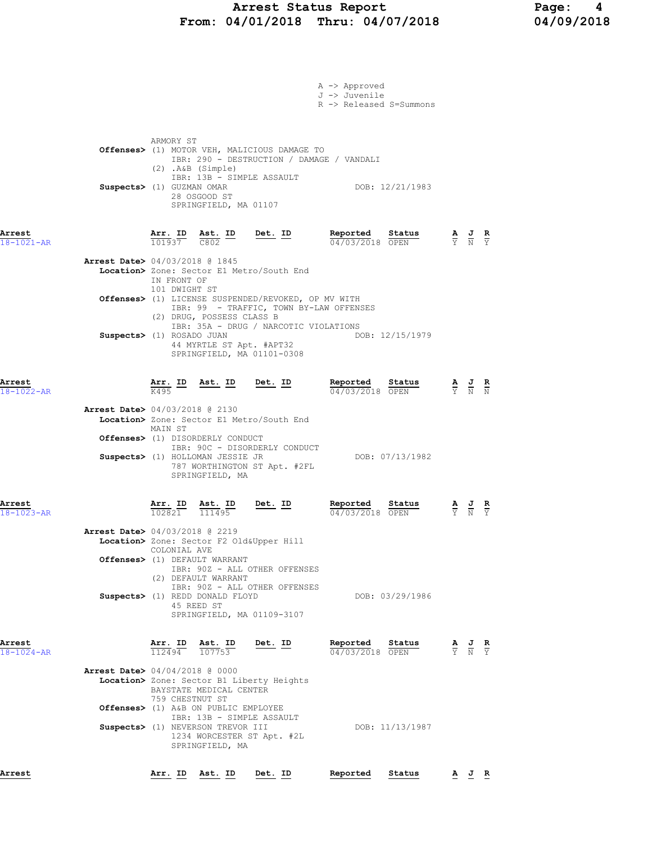# Arrest Status Report Page: 4 From: 04/01/2018 Thru: 04/07/2018 04/09/2018

|                            |                                                                                                                                                         |         | A -> Approved<br>J -> Juvenile<br>R -> Released S=Summons |                 |                                                                                                       |  |
|----------------------------|---------------------------------------------------------------------------------------------------------------------------------------------------------|---------|-----------------------------------------------------------|-----------------|-------------------------------------------------------------------------------------------------------|--|
|                            | ARMORY ST<br>Offenses> (1) MOTOR VEH, MALICIOUS DAMAGE TO<br>IBR: 290 - DESTRUCTION / DAMAGE / VANDALI<br>$(2)$ . A&B $(Simple)$                        |         |                                                           |                 |                                                                                                       |  |
|                            | IBR: 13B - SIMPLE ASSAULT<br>Suspects> (1) GUZMAN OMAR<br>28 OSGOOD ST<br>SPRINGFIELD, MA 01107                                                         |         |                                                           | DOB: 12/21/1983 |                                                                                                       |  |
| Arrest<br>$18 - 1021 - AR$ | $\frac{\text{Arr.}}{101937}$ $\frac{\text{ Ast.}}{C802}$ $\frac{\text{ID}}{\text{C}}$                                                                   | Det. ID | Reported<br>04/03/2018 OPEN                               | Status          | $\frac{\mathbf{A}}{\mathbf{Y}}$ $\frac{\mathbf{J}}{\mathbf{N}}$ $\frac{\mathbf{R}}{\mathbf{Y}}$       |  |
|                            | Arrest Date> 04/03/2018 @ 1845<br>Location> Zone: Sector E1 Metro/South End<br>IN FRONT OF<br>101 DWIGHT ST                                             |         |                                                           |                 |                                                                                                       |  |
|                            | <b>Offenses&gt;</b> (1) LICENSE SUSPENDED/REVOKED, OP MV WITH<br>IBR: 99 - TRAFFIC, TOWN BY-LAW OFFENSES<br>(2) DRUG, POSSESS CLASS B                   |         |                                                           |                 |                                                                                                       |  |
|                            | IBR: 35A - DRUG / NARCOTIC VIOLATIONS<br>Suspects> (1) ROSADO JUAN<br>44 MYRTLE ST Apt. #APT32<br>SPRINGFIELD, MA 01101-0308                            |         |                                                           | DOB: 12/15/1979 |                                                                                                       |  |
| Arrest<br>18-1022-AR       | $\frac{\texttt{Arr.}}{\text{K495}}$ ID Ast. ID Det. ID                                                                                                  |         | Reported<br>04/03/2018 OPEN                               | Status          | $\frac{\mathbf{A}}{\mathbf{Y}}$ $\frac{\mathbf{J}}{\mathbf{N}}$ $\frac{\mathbf{R}}{\mathbf{N}}$       |  |
|                            | <b>Arrest Date&gt;</b> 04/03/2018 @ 2130<br>Location> Zone: Sector E1 Metro/South End<br>MAIN ST<br>Offenses> (1) DISORDERLY CONDUCT                    |         |                                                           |                 |                                                                                                       |  |
|                            | IBR: 90C - DISORDERLY CONDUCT<br>Suspects> (1) HOLLOMAN JESSIE JR<br>787 WORTHINGTON ST Apt. #2FL<br>SPRINGFIELD, MA                                    |         |                                                           | DOB: 07/13/1982 |                                                                                                       |  |
| Arrest<br>$18 - 1023 - AR$ | Arr. ID<br>Ast. ID<br>102821<br>111495                                                                                                                  | Det. ID | Reported<br>04/03/2018 OPEN                               | Status          | $\frac{\mathbf{A}}{\overline{Y}}$ $\frac{\mathbf{J}}{\overline{N}}$ $\frac{\mathbf{R}}{\overline{Y}}$ |  |
|                            | Arrest Date> 04/03/2018 @ 2219<br>Location> Zone: Sector F2 Old&Upper Hill<br>COLONIAL AVE<br>Offenses> (1) DEFAULT WARRANT                             |         |                                                           |                 |                                                                                                       |  |
|                            | IBR: 90Z - ALL OTHER OFFENSES<br>(2) DEFAULT WARRANT<br>IBR: 90Z - ALL OTHER OFFENSES<br>Suspects> (1) REDD DONALD FLOYD                                |         |                                                           | DOB: 03/29/1986 |                                                                                                       |  |
|                            | 45 REED ST<br>SPRINGFIELD, MA 01109-3107                                                                                                                |         |                                                           |                 |                                                                                                       |  |
| Arrest<br>18-1024-AR       | $\frac{\texttt{Arr. ID}}{112494}$ $\frac{\texttt{Ast. ID}}{107753}$ Det. ID<br><b>Arrest Date&gt;</b> 04/04/2018 @ 0000                                 |         | Reported Statu<br>$\frac{04}{03}{2018}$ OPEN              | <u>Status</u>   | $\frac{\mathbf{A}}{\mathbf{Y}}$ $\frac{\mathbf{J}}{\mathbf{N}}$ $\frac{\mathbf{R}}{\mathbf{Y}}$       |  |
|                            | Location> Zone: Sector B1 Liberty Heights<br>BAYSTATE MEDICAL CENTER<br>759 CHESTNUT ST                                                                 |         |                                                           |                 |                                                                                                       |  |
|                            | Offenses> (1) A&B ON PUBLIC EMPLOYEE<br>IBR: 13B - SIMPLE ASSAULT<br>Suspects> (1) NEVERSON TREVOR III<br>1234 WORCESTER ST Apt. #2L<br>SPRINGFIELD, MA |         |                                                           | DOB: 11/13/1987 |                                                                                                       |  |
| Arrest                     | Arr. ID Ast. ID Det. ID                                                                                                                                 |         | Reported                                                  | Status          | $\underline{A}$ $\underline{J}$ R                                                                     |  |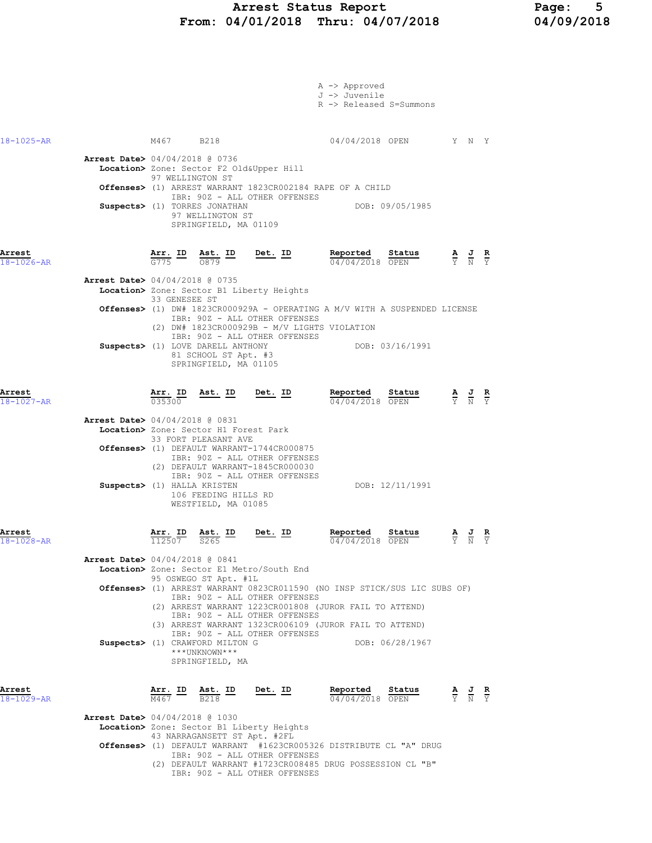### Arrest Status Report Page: 5 From: 04/01/2018 Thru: 04/07/2018 04/09/2018

|                            |                                                                                                                                                                                                                                                                                                                                                                                    | A -> Approved<br>J -> Juvenile<br>R -> Released S=Summons                                                                                                                                                                                                            |                                                                                                       |
|----------------------------|------------------------------------------------------------------------------------------------------------------------------------------------------------------------------------------------------------------------------------------------------------------------------------------------------------------------------------------------------------------------------------|----------------------------------------------------------------------------------------------------------------------------------------------------------------------------------------------------------------------------------------------------------------------|-------------------------------------------------------------------------------------------------------|
| $18 - 1025 - AR$           | M467 B218                                                                                                                                                                                                                                                                                                                                                                          | 04/04/2018 OPEN Y N Y                                                                                                                                                                                                                                                |                                                                                                       |
|                            | Arrest Date> 04/04/2018 @ 0736<br>Location> Zone: Sector F2 Old&Upper Hill<br>97 WELLINGTON ST<br>IBR: 90Z - ALL OTHER OFFENSES<br>Suspects> (1) TORRES JONATHAN<br>97 WELLINGTON ST<br>SPRINGFIELD, MA 01109                                                                                                                                                                      | Offenses> (1) ARREST WARRANT 1823CR002184 RAPE OF A CHILD<br>DOB: 09/05/1985                                                                                                                                                                                         |                                                                                                       |
| Arrest<br>$18 - 1026 - AR$ | $\frac{\text{Arr.}}{G775}$ ID $\frac{\text{Ast.}}{0879}$ ID                                                                                                                                                                                                                                                                                                                        | Reported<br><u>Det.</u> ID<br>Status<br>04/04/2018 OPEN                                                                                                                                                                                                              | $\frac{\mathbf{A}}{\overline{Y}}$ $\frac{\mathbf{J}}{\overline{N}}$ $\frac{\mathbf{R}}{\overline{Y}}$ |
|                            | <b>Arrest Date&gt;</b> 04/04/2018 @ 0735<br>Location> Zone: Sector B1 Liberty Heights<br>33 GENESEE ST<br>IBR: 90Z - ALL OTHER OFFENSES<br>IBR: 90Z - ALL OTHER OFFENSES<br>Suspects> (1) LOVE DARELL ANTHONY<br>81 SCHOOL ST Apt. #3<br>SPRINGFIELD, MA 01105                                                                                                                     | Offenses> (1) DW# 1823CR000929A - OPERATING A M/V WITH A SUSPENDED LICENSE<br>(2) DW# 1823CR000929B - M/V LIGHTS VIOLATION<br>DOB: 03/16/1991                                                                                                                        |                                                                                                       |
| Arrest<br>$18 - 1027 - AR$ | Arr. ID<br><u>Ast.</u> ID<br>035300<br><b>Arrest Date&gt;</b> 04/04/2018 @ 0831<br>Location> Zone: Sector H1 Forest Park<br>33 FORT PLEASANT AVE<br>Offenses> (1) DEFAULT WARRANT-1744CR000875<br>IBR: 90Z - ALL OTHER OFFENSES<br>(2) DEFAULT WARRANT-1845CR000030<br>IBR: 90Z - ALL OTHER OFFENSES<br>Suspects> (1) HALLA KRISTEN<br>106 FEEDING HILLS RD<br>WESTFIELD, MA 01085 | Reported<br>$Det. ID$<br>Status<br>04/04/2018 OPEN<br>DOB: 12/11/1991                                                                                                                                                                                                | $\frac{\mathbf{A}}{\mathbf{Y}}$ $\frac{\mathbf{J}}{\mathbf{N}}$ $\frac{\mathbf{R}}{\mathbf{Y}}$       |
| Arrest<br>$18 - 1028 - AR$ | Arr. ID<br>Ast. ID<br>112507<br>S265<br><b>Arrest Date&gt;</b> 04/04/2018 @ 0841<br>Location> Zone: Sector E1 Metro/South End<br>95 OSWEGO ST Apt. #1L<br>IBR: 90Z - ALL OTHER OFFENSES<br>IBR: 90Z - ALL OTHER OFFENSES<br>IBR: 90Z - ALL OTHER OFFENSES<br>Suspects> (1) CRAWFORD MILTON G<br>***UNKNOWN***<br>SPRINGFIELD, MA                                                   | Reported<br>Det. ID<br>Status<br>04/04/2018 OPEN<br>Offenses> (1) ARREST WARRANT 0823CR011590 (NO INSP STICK/SUS LIC SUBS OF)<br>(2) ARREST WARRANT 1223CR001808 (JUROR FAIL TO ATTEND)<br>(3) ARREST WARRANT 1323CR006109 (JUROR FAIL TO ATTEND)<br>DOB: 06/28/1967 | $\frac{\mathbf{A}}{\mathbf{Y}}$ $\frac{\mathbf{J}}{\mathbf{N}}$ $\frac{\mathbf{R}}{\mathbf{Y}}$       |
| Arrest<br>18-1029-AR       | $\frac{\texttt{Arr.}}{\texttt{M467}}$ ID $\frac{\texttt{ Ast.}}{\texttt{B218}}$ ID<br><b>Arrest Date&gt;</b> 04/04/2018 @ 1030<br>Location> Zone: Sector B1 Liberty Heights<br>43 NARRAGANSETT ST Apt. #2FL<br>IBR: 90Z - ALL OTHER OFFENSES<br>IBR: 90Z - ALL OTHER OFFENSES                                                                                                      | <u>Det. ID</u><br>Reported Status<br>04/04/2018 OPEN<br>Offenses> (1) DEFAULT WARRANT #1623CR005326 DISTRIBUTE CL "A" DRUG<br>(2) DEFAULT WARRANT #1723CR008485 DRUG POSSESSION CL "B"                                                                               | $\frac{\mathbf{A}}{\mathbf{Y}}$ $\frac{\mathbf{J}}{\mathbf{N}}$ $\frac{\mathbf{R}}{\mathbf{Y}}$       |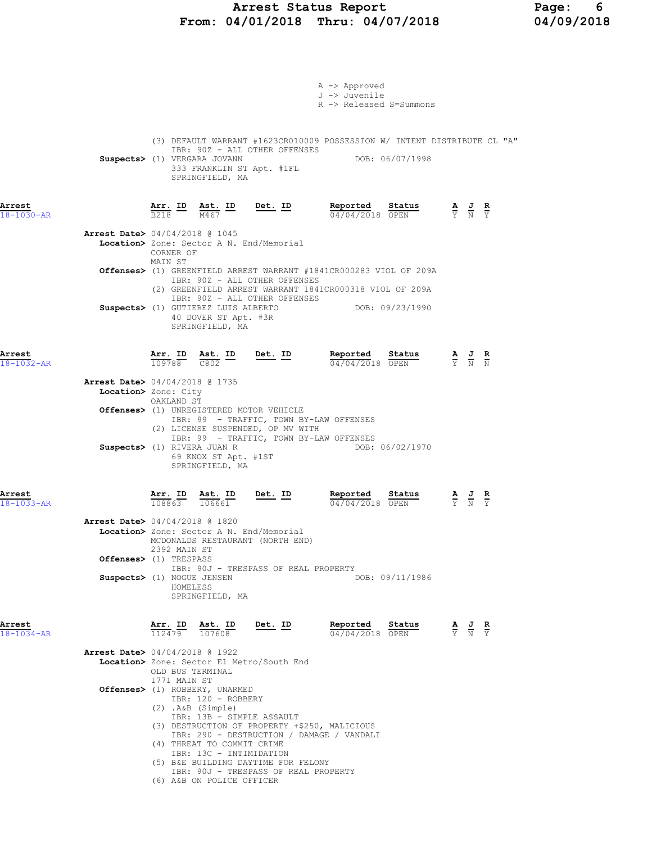## Arrest Status Report Page: 6 From: 04/01/2018 Thru: 04/07/2018 04/09/2018

|                            |                                  |                                                                                                                                                                                                   |                                                                                                                                                                           | A -> Approved                                                                                                                 |                                      |                                                                                                 |                                                                                                 |                               |
|----------------------------|----------------------------------|---------------------------------------------------------------------------------------------------------------------------------------------------------------------------------------------------|---------------------------------------------------------------------------------------------------------------------------------------------------------------------------|-------------------------------------------------------------------------------------------------------------------------------|--------------------------------------|-------------------------------------------------------------------------------------------------|-------------------------------------------------------------------------------------------------|-------------------------------|
|                            |                                  |                                                                                                                                                                                                   |                                                                                                                                                                           | J -> Juvenile<br>R -> Released S=Summons                                                                                      |                                      |                                                                                                 |                                                                                                 |                               |
|                            |                                  |                                                                                                                                                                                                   |                                                                                                                                                                           |                                                                                                                               |                                      |                                                                                                 |                                                                                                 |                               |
|                            |                                  | Suspects> (1) VERGARA JOVANN<br>SPRINGFIELD, MA                                                                                                                                                   | IBR: 90Z - ALL OTHER OFFENSES<br>333 FRANKLIN ST Apt. #1FL                                                                                                                | (3) DEFAULT WARRANT #1623CR010009 POSSESSION W/ INTENT DISTRIBUTE CL "A"                                                      | DOB: 06/07/1998                      |                                                                                                 |                                                                                                 |                               |
| Arrest<br>18-1030-AR       |                                  | $\frac{\texttt{Arr.}}{\texttt{B218}}$ $\frac{\texttt{lab}}{\texttt{M467}}$ $\frac{\texttt{ID}}{\texttt{M467}}$ $\frac{\texttt{Det.}}{\texttt{D48}}$                                               |                                                                                                                                                                           | Reported Status                                                                                                               | $\frac{3 \text{ radus}}{04/04/2018}$ | $\frac{\mathbf{A}}{\mathbf{Y}}$ $\frac{\mathbf{J}}{\mathbf{N}}$ $\frac{\mathbf{R}}{\mathbf{Y}}$ |                                                                                                 |                               |
|                            | CORNER OF                        | <b>Arrest Date&gt;</b> 04/04/2018 @ 1045                                                                                                                                                          | Location> Zone: Sector A N. End/Memorial                                                                                                                                  |                                                                                                                               |                                      |                                                                                                 |                                                                                                 |                               |
|                            | MAIN ST                          |                                                                                                                                                                                                   | IBR: 90Z - ALL OTHER OFFENSES                                                                                                                                             | Offenses> (1) GREENFIELD ARREST WARRANT #1841CR000283 VIOL OF 209A<br>(2) GREENFIELD ARREST WARRANT 1841CR000318 VIOL OF 209A |                                      |                                                                                                 |                                                                                                 |                               |
|                            |                                  | 40 DOVER ST Apt. #3R<br>SPRINGFIELD, MA                                                                                                                                                           | IBR: 90Z - ALL OTHER OFFENSES<br>Suspects> (1) GUTIEREZ LUIS ALBERTO                                                                                                      |                                                                                                                               | DOB: 09/23/1990                      |                                                                                                 |                                                                                                 |                               |
| Arrest<br>$18 - 1032 - AR$ | $\frac{\text{Arr.}}{109788}$     | $\frac{\text{Ast.}}{\text{C802}}$ ID                                                                                                                                                              | Det. ID                                                                                                                                                                   | Reported<br>04/04/2018 OPEN                                                                                                   | Status                               | $\frac{\mathbf{A}}{\mathrm{Y}}$ $\frac{\mathbf{J}}{\mathrm{N}}$ $\frac{\mathbf{R}}{\mathrm{N}}$ |                                                                                                 |                               |
|                            | Location> Zone: City             | Arrest Date> 04/04/2018 @ 1735                                                                                                                                                                    |                                                                                                                                                                           |                                                                                                                               |                                      |                                                                                                 |                                                                                                 |                               |
|                            | OAKLAND ST                       |                                                                                                                                                                                                   | <b>Offenses&gt;</b> (1) UNREGISTERED MOTOR VEHICLE<br>IBR: 99 - TRAFFIC, TOWN BY-LAW OFFENSES<br>(2) LICENSE SUSPENDED, OP MV WITH                                        |                                                                                                                               |                                      |                                                                                                 |                                                                                                 |                               |
|                            |                                  | Suspects> (1) RIVERA JUAN R<br>69 KNOX ST Apt. #1ST<br>SPRINGFIELD, MA                                                                                                                            | IBR: 99 - TRAFFIC, TOWN BY-LAW OFFENSES                                                                                                                                   |                                                                                                                               | DOB: 06/02/1970                      |                                                                                                 |                                                                                                 |                               |
| Arrest<br>$18 - 1033 - AR$ | 108863                           | Arr. ID Ast. ID<br>106661                                                                                                                                                                         | Det. ID                                                                                                                                                                   | Reported<br>04/04/2018 OPEN                                                                                                   | Status                               |                                                                                                 | $\frac{\mathbf{A}}{\mathbf{Y}}$ $\frac{\mathbf{J}}{\mathbf{N}}$                                 | $rac{\mathbf{R}}{\mathbf{Y}}$ |
|                            | 2392 MAIN ST                     | Arrest Date> 04/04/2018 @ 1820                                                                                                                                                                    | Location> Zone: Sector A N. End/Memorial<br>MCDONALDS RESTAURANT (NORTH END)                                                                                              |                                                                                                                               |                                      |                                                                                                 |                                                                                                 |                               |
|                            | Offenses> (1) TRESPASS           |                                                                                                                                                                                                   | IBR: 90J - TRESPASS OF REAL PROPERTY                                                                                                                                      |                                                                                                                               |                                      |                                                                                                 |                                                                                                 |                               |
|                            | HOMELESS                         | Suspects> (1) NOGUE JENSEN<br>SPRINGFIELD, MA                                                                                                                                                     |                                                                                                                                                                           |                                                                                                                               | DOB: 09/11/1986                      |                                                                                                 |                                                                                                 |                               |
| Arrest<br>18-1034-AR       |                                  | $\frac{\text{Arr.}}{112479}$ $\frac{\text{B}}{107608}$                                                                                                                                            | Det. ID                                                                                                                                                                   | Reported<br>04/04/2018 OPEN                                                                                                   | Status                               |                                                                                                 | $\frac{\mathbf{A}}{\mathbf{Y}}$ $\frac{\mathbf{J}}{\mathbf{N}}$ $\frac{\mathbf{R}}{\mathbf{Y}}$ |                               |
|                            | OLD BUS TERMINAL<br>1771 MAIN ST | <b>Arrest Date&gt;</b> 04/04/2018 @ 1922                                                                                                                                                          | Location> Zone: Sector E1 Metro/South End                                                                                                                                 |                                                                                                                               |                                      |                                                                                                 |                                                                                                 |                               |
|                            |                                  | Offenses> (1) ROBBERY, UNARMED<br>IBR: 120 - ROBBERY<br>$(2)$ . A&B $(Simple)$<br>IBR: 13B - SIMPLE ASSAULT<br>(4) THREAT TO COMMIT CRIME<br>IBR: 13C - INTIMIDATION<br>(6) A&B ON POLICE OFFICER | (3) DESTRUCTION OF PROPERTY +\$250, MALICIOUS<br>IBR: 290 - DESTRUCTION / DAMAGE / VANDALI<br>(5) B&E BUILDING DAYTIME FOR FELONY<br>IBR: 90J - TRESPASS OF REAL PROPERTY |                                                                                                                               |                                      |                                                                                                 |                                                                                                 |                               |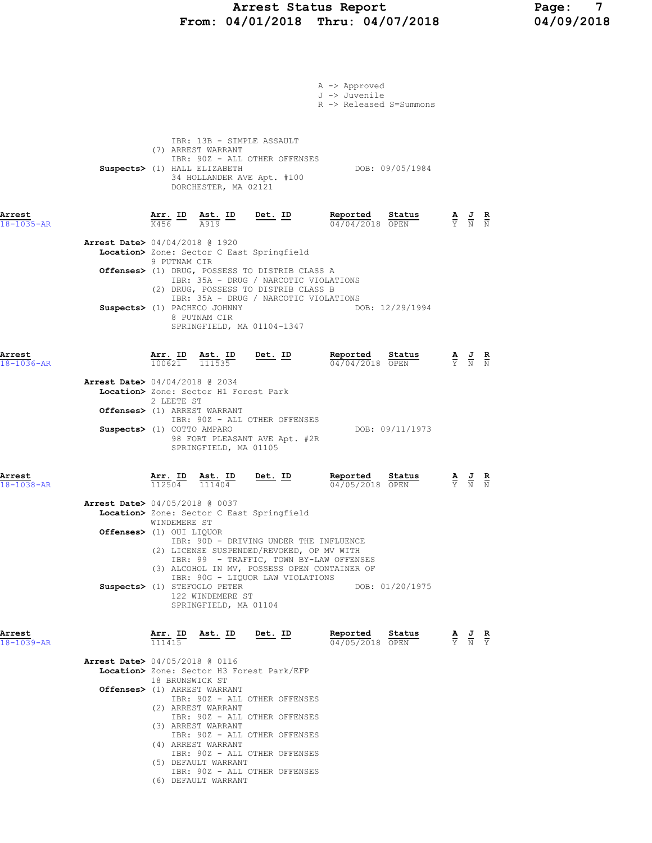# Arrest Status Report Page: 7 From: 04/01/2018 Thru: 04/07/2018 04/09/2018

|                            |                                                                                       |                   |                                                                                                         |                                                                                                                                      | A -> Approved<br>J -> Juvenile<br>R -> Released S=Summons                                |                                                                                                 |  |
|----------------------------|---------------------------------------------------------------------------------------|-------------------|---------------------------------------------------------------------------------------------------------|--------------------------------------------------------------------------------------------------------------------------------------|------------------------------------------------------------------------------------------|-------------------------------------------------------------------------------------------------|--|
|                            |                                                                                       |                   | IBR: 13B - SIMPLE ASSAULT<br>(7) ARREST WARRANT<br>Suspects> (1) HALL ELIZABETH<br>DORCHESTER, MA 02121 | IBR: 90Z - ALL OTHER OFFENSES<br>34 HOLLANDER AVE Apt. #100                                                                          | DOB: 09/05/1984                                                                          |                                                                                                 |  |
| Arrest<br>18-1035-AR       |                                                                                       |                   |                                                                                                         | $\frac{\texttt{Arr.}}{\text{K456}}$ ID $\frac{\texttt{ Ast.}}{\text{A919}}$ ID Det. ID                                               | Reported Status<br>04/04/2018 OPEN                                                       | $\frac{\mathbf{A}}{\mathbf{Y}}$ $\frac{\mathbf{J}}{\mathbf{N}}$ $\frac{\mathbf{R}}{\mathbf{N}}$ |  |
|                            | <b>Arrest Date&gt;</b> 04/04/2018 @ 1920                                              |                   |                                                                                                         | Location> Zone: Sector C East Springfield                                                                                            |                                                                                          |                                                                                                 |  |
|                            |                                                                                       | 9 PUTNAM CIR      |                                                                                                         | Offenses> (1) DRUG, POSSESS TO DISTRIB CLASS A<br>IBR: 35A - DRUG / NARCOTIC VIOLATIONS<br>(2) DRUG, POSSESS TO DISTRIB CLASS B      |                                                                                          |                                                                                                 |  |
|                            |                                                                                       |                   | Suspects> (1) PACHECO JOHNNY<br>8 PUTNAM CIR                                                            | IBR: 35A - DRUG / NARCOTIC VIOLATIONS<br>SPRINGFIELD, MA 01104-1347                                                                  | DOB: 12/29/1994                                                                          |                                                                                                 |  |
| Arrest<br>$18 - 1036 - AR$ |                                                                                       |                   |                                                                                                         | $\frac{\texttt{Arr. ID}}{100621}$ $\frac{\texttt{ Ast. ID}}{111535}$ Det. ID                                                         | Reported Status<br>04/04/2018 OPEN                                                       | $\frac{\mathbf{A}}{\mathbf{Y}}$ $\frac{\mathbf{J}}{\mathbf{N}}$ $\frac{\mathbf{R}}{\mathbf{N}}$ |  |
|                            | <b>Arrest Date&gt;</b> 04/04/2018 @ 2034                                              |                   | Location> Zone: Sector H1 Forest Park                                                                   |                                                                                                                                      |                                                                                          |                                                                                                 |  |
|                            |                                                                                       | 2 LEETE ST        | Offenses> (1) ARREST WARRANT                                                                            |                                                                                                                                      |                                                                                          |                                                                                                 |  |
|                            | Suspects> (1) COTTO AMPARO                                                            |                   | SPRINGFIELD, MA 01105                                                                                   | IBR: 90Z - ALL OTHER OFFENSES<br>98 FORT PLEASANT AVE Apt. #2R                                                                       | DOB: 09/11/1973                                                                          |                                                                                                 |  |
| Arrest<br>$18 - 1038 - AR$ |                                                                                       | Arr. ID<br>112504 | $\frac{111404}{ }$                                                                                      | Ast. ID Det. ID                                                                                                                      | <b>Reported Status A J R</b> 04/05/2018 OPEN $\frac{1}{Y}$ <b>N N</b><br>04/05/2018 OPEN |                                                                                                 |  |
|                            | <b>Arrest Date&gt;</b> 04/05/2018 @ 0037<br>Location> Zone: Sector C East Springfield |                   |                                                                                                         |                                                                                                                                      |                                                                                          |                                                                                                 |  |
|                            |                                                                                       |                   |                                                                                                         |                                                                                                                                      |                                                                                          |                                                                                                 |  |
|                            | Offenses> (1) OUI LIQUOR                                                              | WINDEMERE ST      |                                                                                                         | IBR: 90D - DRIVING UNDER THE INFLUENCE                                                                                               |                                                                                          |                                                                                                 |  |
|                            |                                                                                       |                   |                                                                                                         | (2) LICENSE SUSPENDED/REVOKED, OP MV WITH<br>IBR: 99 - TRAFFIC, TOWN BY-LAW OFFENSES<br>(3) ALCOHOL IN MV, POSSESS OPEN CONTAINER OF |                                                                                          |                                                                                                 |  |
|                            |                                                                                       |                   | Suspects> (1) STEFOGLO PETER<br>122 WINDEMERE ST<br>SPRINGFIELD, MA 01104                               | IBR: 90G - LIQUOR LAW VIOLATIONS                                                                                                     | DOB: 01/20/1975                                                                          |                                                                                                 |  |
| Arrest<br>$18 - 1039 - AR$ |                                                                                       | 111415            | Arr. ID Ast. ID Det. ID                                                                                 |                                                                                                                                      | Reported<br>Status<br>04/05/2018 OPEN                                                    | $\frac{\mathbf{A}}{\mathbf{Y}}$ $\frac{\mathbf{J}}{\mathbf{N}}$ $\frac{\mathbf{R}}{\mathbf{Y}}$ |  |
|                            | Arrest Date> 04/05/2018 @ 0116                                                        |                   |                                                                                                         | Location> Zone: Sector H3 Forest Park/EFP                                                                                            |                                                                                          |                                                                                                 |  |
|                            |                                                                                       | 18 BRUNSWICK ST   | Offenses> (1) ARREST WARRANT                                                                            |                                                                                                                                      |                                                                                          |                                                                                                 |  |
|                            |                                                                                       |                   | (2) ARREST WARRANT                                                                                      | IBR: 90Z - ALL OTHER OFFENSES                                                                                                        |                                                                                          |                                                                                                 |  |
|                            |                                                                                       |                   | (3) ARREST WARRANT                                                                                      | IBR: 90Z - ALL OTHER OFFENSES<br>IBR: 90Z - ALL OTHER OFFENSES                                                                       |                                                                                          |                                                                                                 |  |
|                            |                                                                                       |                   | (4) ARREST WARRANT<br>(5) DEFAULT WARRANT                                                               | IBR: 90Z - ALL OTHER OFFENSES                                                                                                        |                                                                                          |                                                                                                 |  |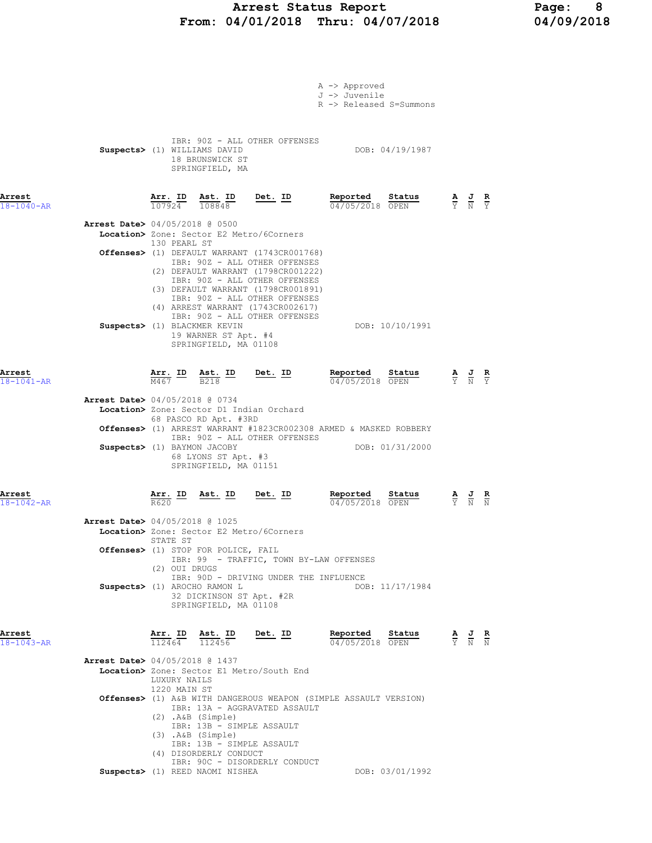# Arrest Status Report 1992 Page: 8<br>
19/01/2018 Thru: 04/07/2018 1992018 From: 04/01/2018 Thru: 04/07/2018

|                            |                                                                                                                                                                                                                                                                            | A -> Approved<br>J -> Juvenile<br>R -> Released S=Summons |                                                                                                       |  |
|----------------------------|----------------------------------------------------------------------------------------------------------------------------------------------------------------------------------------------------------------------------------------------------------------------------|-----------------------------------------------------------|-------------------------------------------------------------------------------------------------------|--|
|                            | IBR: 90Z - ALL OTHER OFFENSES<br>Suspects> (1) WILLIAMS DAVID<br>18 BRUNSWICK ST<br>SPRINGFIELD, MA                                                                                                                                                                        | DOB: 04/19/1987                                           |                                                                                                       |  |
| Arrest<br>$18 - 1040 - AR$ | Arr. ID Ast. ID<br><u>Det. ID</u><br>107924<br>108848                                                                                                                                                                                                                      | Reported<br>Status<br>04/05/2018 OPEN                     | $\frac{\mathbf{A}}{\overline{Y}}$ $\frac{\mathbf{J}}{\overline{N}}$ $\frac{\mathbf{R}}{\overline{Y}}$ |  |
|                            | Arrest Date> 04/05/2018 @ 0500<br>Location> Zone: Sector E2 Metro/6Corners<br>130 PEARL ST                                                                                                                                                                                 |                                                           |                                                                                                       |  |
|                            | <b>Offenses&gt;</b> (1) DEFAULT WARRANT (1743CR001768)<br>IBR: 90Z - ALL OTHER OFFENSES<br>(2) DEFAULT WARRANT (1798CR001222)<br>IBR: 90Z - ALL OTHER OFFENSES<br>(3) DEFAULT WARRANT (1798CR001891)<br>IBR: 90Z - ALL OTHER OFFENSES<br>(4) ARREST WARRANT (1743CR002617) |                                                           |                                                                                                       |  |
|                            | IBR: 90Z - ALL OTHER OFFENSES<br>Suspects> (1) BLACKMER KEVIN<br>19 WARNER ST Apt. #4<br>SPRINGFIELD, MA 01108                                                                                                                                                             | DOB: 10/10/1991                                           |                                                                                                       |  |
| Arrest<br>18-1041-AR       | <u>Det. ID</u><br>$\frac{\text{Arr.}}{\text{M467}}$ ID $\frac{\text{Ast.}}{\text{B218}}$                                                                                                                                                                                   | Reported<br>Status<br>04/05/2018 OPEN                     | $\frac{\mathbf{A}}{\mathbf{Y}}$ $\frac{\mathbf{J}}{\mathbf{N}}$ $\frac{\mathbf{R}}{\mathbf{Y}}$       |  |
|                            | Arrest Date> 04/05/2018 @ 0734<br>Location> Zone: Sector D1 Indian Orchard<br>68 PASCO RD Apt. #3RD<br>Offenses> (1) ARREST WARRANT #1823CR002308 ARMED & MASKED ROBBERY                                                                                                   |                                                           |                                                                                                       |  |
|                            | IBR: 90Z - ALL OTHER OFFENSES<br>Suspects> (1) BAYMON JACOBY<br>68 LYONS ST Apt. #3<br>SPRINGFIELD, MA 01151                                                                                                                                                               | DOB: 01/31/2000                                           |                                                                                                       |  |
| Arrest<br>$18 - 1042 - AR$ | $\frac{\texttt{Arr.}}{\texttt{R620}}$ ID<br><u>Ast. ID Det. ID</u>                                                                                                                                                                                                         | Reported<br>Status<br>04/05/2018 OPEN                     | $\frac{\mathbf{A}}{\mathbf{Y}}$ $\frac{\mathbf{J}}{\mathbf{N}}$ $\frac{\mathbf{R}}{\mathbf{N}}$       |  |
|                            | Arrest Date> 04/05/2018 @ 1025<br>Location> Zone: Sector E2 Metro/6Corners<br>STATE ST                                                                                                                                                                                     |                                                           |                                                                                                       |  |
|                            | Offenses> (1) STOP FOR POLICE, FAIL<br>IBR: 99 - TRAFFIC, TOWN BY-LAW OFFENSES<br>(2) OUI DRUGS                                                                                                                                                                            |                                                           |                                                                                                       |  |
|                            | IBR: 90D - DRIVING UNDER THE INFLUENCE<br>Suspects> (1) AROCHO RAMON L<br>32 DICKINSON ST Apt. #2R<br>SPRINGFIELD, MA 01108                                                                                                                                                | DOB: 11/17/1984                                           |                                                                                                       |  |
| Arrest<br>$18 - 1043 - AR$ | Arr. ID Ast. ID<br>Det. ID<br>$\overline{112464}$ $\overline{112456}$                                                                                                                                                                                                      | Reported<br>Status<br>04/05/2018 OPEN                     | $\frac{\mathbf{A}}{\mathbf{Y}}$ $\frac{\mathbf{J}}{\mathbf{N}}$ $\frac{\mathbf{R}}{\mathbf{N}}$       |  |
|                            | <b>Arrest Date&gt;</b> 04/05/2018 @ 1437<br>Location> Zone: Sector E1 Metro/South End<br>LUXURY NAILS<br>1220 MAIN ST                                                                                                                                                      |                                                           |                                                                                                       |  |
|                            | Offenses> (1) A&B WITH DANGEROUS WEAPON (SIMPLE ASSAULT VERSION)<br>IBR: 13A - AGGRAVATED ASSAULT<br>$(2)$ . A&B $(Simple)$<br>IBR: 13B - SIMPLE ASSAULT<br>$(3)$ . A&B $(Simple)$<br>IBR: 13B - SIMPLE ASSAULT<br>(4) DISORDERLY CONDUCT<br>IBR: 90C - DISORDERLY CONDUCT |                                                           |                                                                                                       |  |

Suspects> (1) REED NAOMI NISHEA DOB: 03/01/1992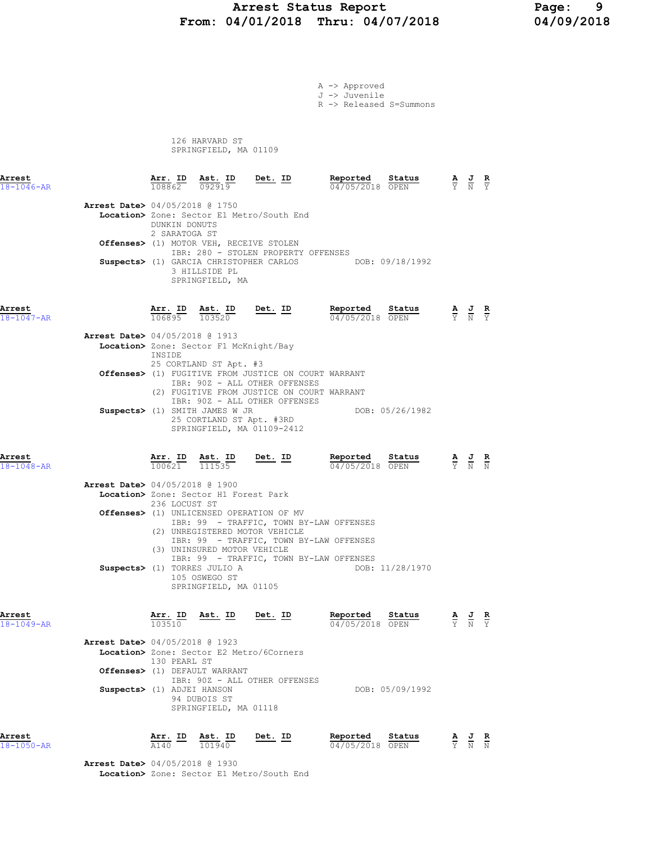### Arrest Status Report 19<br>
19/01/2018 Thru: 04/07/2018 14/09/2018 From: 04/01/2018 Thru: 04/07/2018

A -> Approved J -> Juvenile R -> Released S=Summons

 126 HARVARD ST SPRINGFIELD, MA 01109

| Arrest<br>$18 - 1046 - AR$ |                                                                        |                                | Arr. ID Ast. ID<br>$108862$ 092919                                                                    | <u>Det. ID</u>                                                                                                                                                       | Reported<br>04/05/2018 OPEN                             | Status          |                                                                                                 | $\frac{\mathbf{A}}{\mathbf{Y}}$ $\frac{\mathbf{J}}{\mathbf{N}}$ $\frac{\mathbf{R}}{\mathbf{Y}}$ |                             |
|----------------------------|------------------------------------------------------------------------|--------------------------------|-------------------------------------------------------------------------------------------------------|----------------------------------------------------------------------------------------------------------------------------------------------------------------------|---------------------------------------------------------|-----------------|-------------------------------------------------------------------------------------------------|-------------------------------------------------------------------------------------------------|-----------------------------|
|                            | <b>Arrest Date&gt;</b> 04/05/2018 @ 1750                               | DUNKIN DONUTS<br>2 SARATOGA ST | Offenses> (1) MOTOR VEH, RECEIVE STOLEN<br>3 HILLSIDE PL<br>SPRINGFIELD, MA                           | Location> Zone: Sector E1 Metro/South End<br>IBR: 280 - STOLEN PROPERTY OFFENSES                                                                                     | Suspects> (1) GARCIA CHRISTOPHER CARLOS DOB: 09/18/1992 |                 |                                                                                                 |                                                                                                 |                             |
| Arrest<br>18-1047-AR       |                                                                        |                                | $\frac{\texttt{Arr. ID}}{106895}$ $\frac{\texttt{ Ast. ID}}{103520}$                                  | Det. ID                                                                                                                                                              | Reported<br>04/05/2018 OPEN                             | Status          | $\frac{\mathbf{A}}{\mathbf{Y}}$ $\frac{\mathbf{J}}{\mathbf{N}}$ $\frac{\mathbf{R}}{\mathbf{Y}}$ |                                                                                                 |                             |
|                            | <b>Arrest Date&gt;</b> 04/05/2018 @ 1913                               | INSIDE                         | Location> Zone: Sector F1 McKnight/Bay<br>25 CORTLAND ST Apt. #3                                      |                                                                                                                                                                      |                                                         |                 |                                                                                                 |                                                                                                 |                             |
|                            |                                                                        |                                | Suspects> (1) SMITH JAMES W JR                                                                        | Offenses> (1) FUGITIVE FROM JUSTICE ON COURT WARRANT<br>IBR: 90Z - ALL OTHER OFFENSES<br>(2) FUGITIVE FROM JUSTICE ON COURT WARRANT<br>IBR: 90Z - ALL OTHER OFFENSES | DOB: 05/26/1982                                         |                 |                                                                                                 |                                                                                                 |                             |
| Arrest<br>18-1048-AR       |                                                                        | 100621                         | 25 CORTLAND ST Apt. #3RD<br>Arr. ID Ast. ID<br>111535                                                 | SPRINGFIELD, MA 01109-2412<br>Det. ID                                                                                                                                | Reported<br>04/05/2018 OPEN                             | Status          |                                                                                                 |                                                                                                 |                             |
|                            | <b>Arrest Date&gt;</b> 04/05/2018 @ 1900                               | 236 LOCUST ST                  | Location> Zone: Sector H1 Forest Park                                                                 | <b>Offenses&gt;</b> (1) UNLICENSED OPERATION OF MV                                                                                                                   |                                                         |                 |                                                                                                 |                                                                                                 |                             |
|                            |                                                                        |                                | (3) UNINSURED MOTOR VEHICLE<br>Suspects> (1) TORRES JULIO A<br>105 OSWEGO ST<br>SPRINGFIELD, MA 01105 | IBR: 99 - TRAFFIC, TOWN BY-LAW OFFENSES<br>(2) UNREGISTERED MOTOR VEHICLE<br>IBR: 99 - TRAFFIC, TOWN BY-LAW OFFENSES<br>IBR: 99 - TRAFFIC, TOWN BY-LAW OFFENSES      |                                                         | DOB: 11/28/1970 |                                                                                                 |                                                                                                 |                             |
| Arrest<br>18-1049-AR       |                                                                        | Arr. ID<br>103510              | <u>Ast. ID</u>                                                                                        | <u>Det. ID</u>                                                                                                                                                       | Reported<br>04/05/2018 OPEN                             | Status          |                                                                                                 |                                                                                                 | $rac{\mathbf{R}}{\Upsilon}$ |
|                            | <b>Arrest Date&gt;</b> 04/05/2018 @ 1923<br>Suspects> (1) ADJEI HANSON | 130 PEARL ST                   | Offenses> (1) DEFAULT WARRANT<br>94 DUBOIS ST<br>SPRINGFIELD, MA 01118                                | Location> Zone: Sector E2 Metro/6Corners<br>IBR: 90Z - ALL OTHER OFFENSES                                                                                            |                                                         | DOB: 05/09/1992 |                                                                                                 |                                                                                                 |                             |
| Arrest<br>$18 - 1050 - AR$ |                                                                        | Arr. ID<br>A140                | Ast. ID<br>101940                                                                                     | Det. ID                                                                                                                                                              | Reported<br>04/05/2018 OPEN                             | Status          | $rac{\mathbf{A}}{\mathbf{Y}}$                                                                   | $\frac{1}{N}$                                                                                   | $\frac{\mathbf{R}}{\rm N}$  |

 Arrest Date> 04/05/2018 @ 1930 Location> Zone: Sector E1 Metro/South End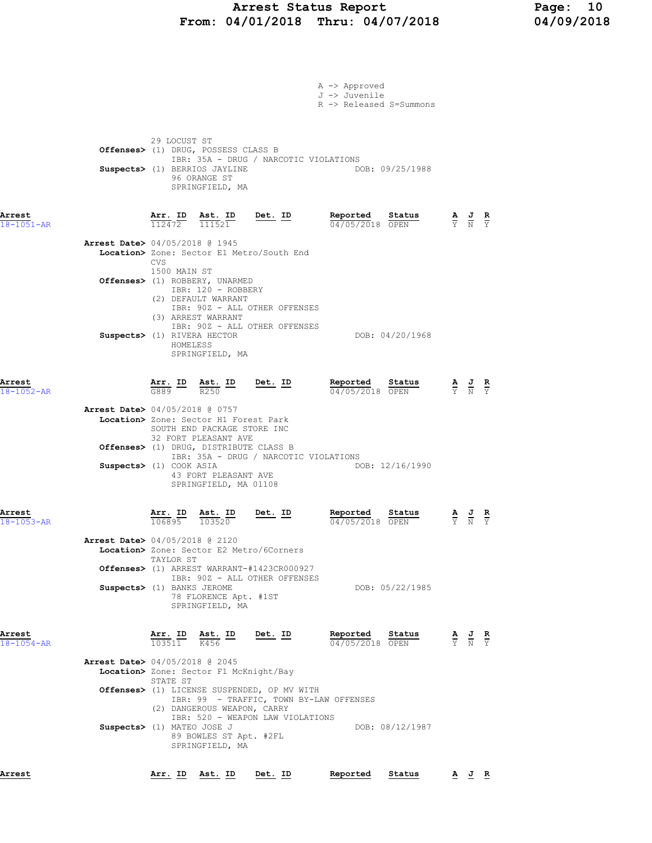# Arrest Status Report Page: 10 From: 04/01/2018 Thru: 04/07/2018 04/09/2018

|                            |                                                                                                                                                                                                                                                                                                                                        | A -> Approved<br>J -> Juvenile<br>R -> Released S=Summons |                                                                                                       |
|----------------------------|----------------------------------------------------------------------------------------------------------------------------------------------------------------------------------------------------------------------------------------------------------------------------------------------------------------------------------------|-----------------------------------------------------------|-------------------------------------------------------------------------------------------------------|
|                            | 29 LOCUST ST<br>Offenses> (1) DRUG, POSSESS CLASS B<br>IBR: 35A - DRUG / NARCOTIC VIOLATIONS<br>Suspects> (1) BERRIOS JAYLINE<br>96 ORANGE ST<br>SPRINGFIELD, MA                                                                                                                                                                       | DOB: 09/25/1988                                           |                                                                                                       |
| Arrest<br>18-1051-AR       | $\frac{\texttt{Arr. ID}}{112472}$ $\frac{\texttt{ Ast. ID}}{111521}$ Det. ID                                                                                                                                                                                                                                                           | Reported<br>Status<br>04/05/2018 OPEN                     | $\frac{\mathbf{A}}{\overline{Y}}$ $\frac{\mathbf{J}}{\overline{N}}$ $\frac{\mathbf{R}}{\overline{Y}}$ |
|                            | Arrest Date> 04/05/2018 @ 1945<br>Location> Zone: Sector E1 Metro/South End<br><b>CVS</b><br>1500 MAIN ST<br>Offenses> (1) ROBBERY, UNARMED<br>IBR: 120 - ROBBERY                                                                                                                                                                      |                                                           |                                                                                                       |
|                            | (2) DEFAULT WARRANT<br>IBR: 90Z - ALL OTHER OFFENSES<br>(3) ARREST WARRANT<br>IBR: 90Z - ALL OTHER OFFENSES<br>Suspects> (1) RIVERA HECTOR<br>HOMELESS<br>SPRINGFIELD, MA                                                                                                                                                              | DOB: 04/20/1968                                           |                                                                                                       |
| Arrest<br>18-1052-AR       | Arr. ID Ast. ID Det. ID<br>$\frac{1}{6889}$ $\frac{1}{100}$ $\frac{1}{100}$ $\frac{1}{100}$                                                                                                                                                                                                                                            | Reported<br>Status<br>04/05/2018 OPEN                     | $\frac{\mathbf{A}}{\mathbf{Y}}$ $\frac{\mathbf{J}}{\mathbf{N}}$ $\frac{\mathbf{R}}{\mathbf{Y}}$       |
|                            | <b>Arrest Date&gt;</b> 04/05/2018 @ 0757<br>Location> Zone: Sector H1 Forest Park<br>SOUTH END PACKAGE STORE INC<br>32 FORT PLEASANT AVE<br>Offenses> (1) DRUG, DISTRIBUTE CLASS B<br>IBR: 35A - DRUG / NARCOTIC VIOLATIONS<br>Suspects> (1) COOK ASIA<br>43 FORT PLEASANT AVE<br>SPRINGFIELD, MA 01108                                | DOB: 12/16/1990                                           |                                                                                                       |
| Arrest<br>$18 - 1053 - AR$ | <u>Det. ID</u><br>$\frac{\text{Arr.}}{106895}$<br><u>Ast.</u> ID<br>103520<br>Arrest Date> 04/05/2018 @ 2120<br>Location> Zone: Sector E2 Metro/6Corners                                                                                                                                                                               | Reported<br>Status<br>04/05/2018 OPEN                     | $\frac{\mathbf{A}}{\mathbf{Y}}$ $\frac{\mathbf{J}}{\mathbf{N}}$ $\frac{\mathbf{R}}{\mathbf{Y}}$       |
|                            | TAYLOR ST<br>Offenses> (1) ARREST WARRANT-#1423CR000927<br>IBR: 90Z - ALL OTHER OFFENSES<br>Suspects> (1) BANKS JEROME<br>78 FLORENCE Apt. #1ST<br>SPRINGFIELD, MA                                                                                                                                                                     | DOB: 05/22/1985                                           |                                                                                                       |
| Arrest<br>$18 - 1054 - AR$ | $\frac{\text{Arr. ID}}{\text{Tr. II}}$ $\frac{\text{Ast. ID}}{\text{Tr. II}}$<br><u>Det.</u> ID<br>103511<br>K456                                                                                                                                                                                                                      | Reported<br>Status<br>04/05/2018 OPEN                     | $\frac{\mathbf{A}}{\mathbf{Y}}$ $\frac{\mathbf{J}}{\mathbf{N}}$ $\frac{\mathbf{R}}{\mathbf{Y}}$       |
|                            | <b>Arrest Date&gt;</b> 04/05/2018 @ 2045<br>Location> Zone: Sector F1 McKnight/Bay<br>STATE ST<br>Offenses> (1) LICENSE SUSPENDED, OP MV WITH<br>IBR: 99 - TRAFFIC, TOWN BY-LAW OFFENSES<br>(2) DANGEROUS WEAPON, CARRY<br>IBR: 520 - WEAPON LAW VIOLATIONS<br>Suspects> (1) MATEO JOSE J<br>89 BOWLES ST Apt. #2FL<br>SPRINGFIELD, MA | DOB: 08/12/1987                                           |                                                                                                       |
| Arrest                     | <u>Arr. ID Ast. ID</u><br><u>Det. ID</u>                                                                                                                                                                                                                                                                                               | Reported<br>Status                                        | <u>A J R</u>                                                                                          |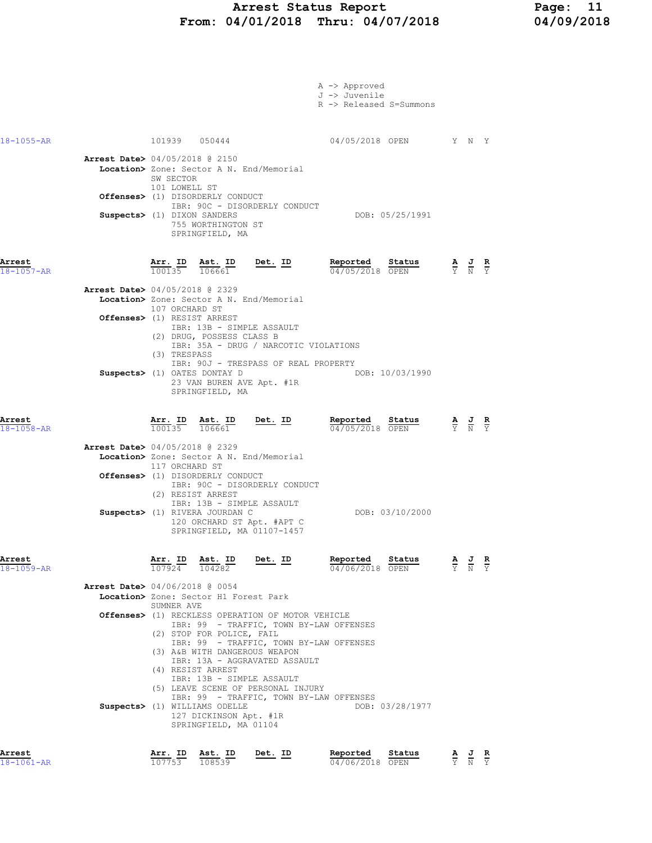## Arrest Status Report Page: 11 From: 04/01/2018 Thru: 04/07/2018 04/09/2018

| Arrest<br>$18 - 1061 - AR$ | IBR: 13B - SIMPLE ASSAULT<br>(5) LEAVE SCENE OF PERSONAL INJURY<br>IBR: 99 - TRAFFIC, TOWN BY-LAW OFFENSES<br>Suspects> (1) WILLIAMS ODELLE<br>127 DICKINSON Apt. #1R<br>SPRINGFIELD, MA 01104<br>Arr. ID<br>Ast. ID<br>Det. ID<br>107753                                                                                                                              | DOB: 03/28/1977<br>Reported<br>Status                     | $\frac{\mathbf{A}}{\overline{Y}}$ $\frac{\mathbf{J}}{\overline{N}}$ $\frac{\mathbf{R}}{\overline{Y}}$ |
|----------------------------|------------------------------------------------------------------------------------------------------------------------------------------------------------------------------------------------------------------------------------------------------------------------------------------------------------------------------------------------------------------------|-----------------------------------------------------------|-------------------------------------------------------------------------------------------------------|
|                            | <b>Arrest Date&gt;</b> 04/06/2018 @ 0054<br>Location> Zone: Sector H1 Forest Park<br>SUMNER AVE<br>Offenses> (1) RECKLESS OPERATION OF MOTOR VEHICLE<br>IBR: 99 - TRAFFIC, TOWN BY-LAW OFFENSES<br>(2) STOP FOR POLICE, FAIL<br>IBR: 99 - TRAFFIC, TOWN BY-LAW OFFENSES<br>(3) A&B WITH DANGEROUS WEAPON<br>IBR: 13A - AGGRAVATED ASSAULT<br>(4) RESIST ARREST         |                                                           |                                                                                                       |
| Arrest<br>$18 - 1059 - AR$ | Arr. ID Ast. ID<br><u>Det. ID</u><br>107924 104282                                                                                                                                                                                                                                                                                                                     | Reported<br>Status<br>04/06/2018 OPEN                     | $\frac{\mathbf{A}}{\mathbf{Y}}$ $\frac{\mathbf{J}}{\mathbf{N}}$<br>к<br>$\overline{v}$                |
|                            | Location> Zone: Sector A N. End/Memorial<br>117 ORCHARD ST<br>Offenses> (1) DISORDERLY CONDUCT<br>IBR: 90C - DISORDERLY CONDUCT<br>(2) RESIST ARREST<br>IBR: 13B - SIMPLE ASSAULT<br>Suspects> (1) RIVERA JOURDAN C<br>120 ORCHARD ST Apt. #APT C<br>SPRINGFIELD, MA 01107-1457                                                                                        | DOB: 03/10/2000                                           |                                                                                                       |
| Arrest<br>18-1058-AR       | $rac{\text{Ast. ID}}{106661}$ Det. ID<br>$\frac{\texttt{Arr.}}{100135}$<br>Arrest Date> 04/05/2018 @ 2329                                                                                                                                                                                                                                                              | Reported<br>Status<br>04/05/2018 OPEN                     | $\frac{\mathbf{A}}{\mathbf{Y}}$ $\frac{\mathbf{J}}{\mathbf{N}}$                                       |
|                            | Arrest Date> 04/05/2018 @ 2329<br>Location> Zone: Sector A N. End/Memorial<br>107 ORCHARD ST<br>Offenses> (1) RESIST ARREST<br>IBR: 13B - SIMPLE ASSAULT<br>(2) DRUG, POSSESS CLASS B<br>IBR: 35A - DRUG / NARCOTIC VIOLATIONS<br>(3) TRESPASS<br>IBR: 90J - TRESPASS OF REAL PROPERTY<br>Suspects> (1) OATES DONTAY D<br>23 VAN BUREN AVE Apt. #1R<br>SPRINGFIELD, MA | DOB: 10/03/1990                                           |                                                                                                       |
| Arrest<br>$18 - 1057 - AR$ | Arr. ID<br>Ast. ID<br><u>Det. ID</u><br>100135<br>106661                                                                                                                                                                                                                                                                                                               | Reported<br>Status<br>04/05/2018 OPEN                     | $\frac{\mathbf{A}}{\mathbf{Y}}$ $\frac{\mathbf{J}}{\mathbf{N}}$ $\frac{\mathbf{R}}{\mathbf{Y}}$       |
|                            | <b>Arrest Date&gt;</b> 04/05/2018 @ 2150<br>Location> Zone: Sector A N. End/Memorial<br>SW SECTOR<br>101 LOWELL ST<br>Offenses> (1) DISORDERLY CONDUCT<br>IBR: 90C - DISORDERLY CONDUCT<br>Suspects> (1) DIXON SANDERS<br>755 WORTHINGTON ST<br>SPRINGFIELD, MA                                                                                                        | DOB: 05/25/1991                                           |                                                                                                       |
| $18 - 1055 - AR$           | 101939 050444                                                                                                                                                                                                                                                                                                                                                          | 04/05/2018 OPEN Y N Y                                     |                                                                                                       |
|                            |                                                                                                                                                                                                                                                                                                                                                                        | A -> Approved<br>J -> Juvenile<br>R -> Released S=Summons |                                                                                                       |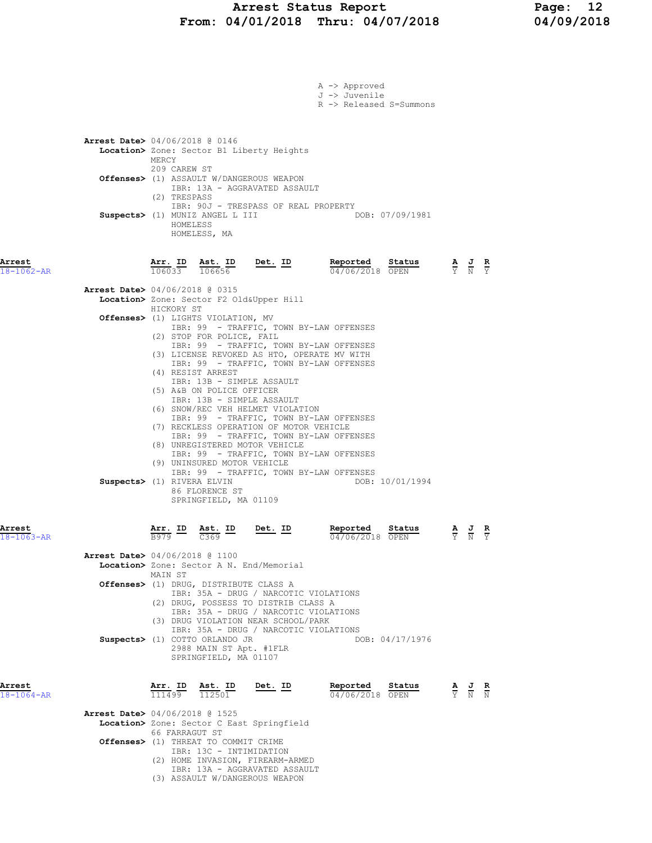### Arrest Status Report Page: 12 From: 04/01/2018 Thru: 04/07/2018 04/09/2018

|                            |                                          |                        |                                                                        |                                                                                                                        | A -> Approved<br>J -> Juvenile<br>R -> Released S=Summons                              |        |                                                                                                       |  |
|----------------------------|------------------------------------------|------------------------|------------------------------------------------------------------------|------------------------------------------------------------------------------------------------------------------------|----------------------------------------------------------------------------------------|--------|-------------------------------------------------------------------------------------------------------|--|
|                            |                                          |                        |                                                                        |                                                                                                                        |                                                                                        |        |                                                                                                       |  |
|                            | <b>Arrest Date&gt;</b> 04/06/2018 @ 0146 | MERCY<br>209 CAREW ST  |                                                                        | Location> Zone: Sector B1 Liberty Heights                                                                              |                                                                                        |        |                                                                                                       |  |
|                            |                                          | (2) TRESPASS           |                                                                        | Offenses> (1) ASSAULT W/DANGEROUS WEAPON<br>IBR: 13A - AGGRAVATED ASSAULT<br>IBR: 90J - TRESPASS OF REAL PROPERTY      |                                                                                        |        |                                                                                                       |  |
|                            |                                          | HOMELESS               | Suspects> (1) MUNIZ ANGEL L III<br>HOMELESS, MA                        |                                                                                                                        | DOB: 07/09/1981                                                                        |        |                                                                                                       |  |
| Arrest<br>$18 - 1062 - AR$ |                                          | 106033                 | Arr. ID Ast. ID<br>106656                                              | Det. ID                                                                                                                | Reported Status<br>04/06/2018 OPEN                                                     |        | $\frac{\mathbf{A}}{\mathbf{Y}}$ $\frac{\mathbf{J}}{\mathbf{N}}$ $\frac{\mathbf{R}}{\mathbf{Y}}$       |  |
|                            | <b>Arrest Date&gt;</b> 04/06/2018 @ 0315 | HICKORY ST             |                                                                        | Location> Zone: Sector F2 Old&Upper Hill                                                                               |                                                                                        |        |                                                                                                       |  |
|                            |                                          |                        | Offenses> (1) LIGHTS VIOLATION, MV<br>(2) STOP FOR POLICE, FAIL        |                                                                                                                        | IBR: 99 - TRAFFIC, TOWN BY-LAW OFFENSES<br>IBR: 99 - TRAFFIC, TOWN BY-LAW OFFENSES     |        |                                                                                                       |  |
|                            |                                          |                        | (4) RESIST ARREST<br>IBR: 13B - SIMPLE ASSAULT                         |                                                                                                                        | (3) LICENSE REVOKED AS HTO, OPERATE MV WITH<br>IBR: 99 - TRAFFIC, TOWN BY-LAW OFFENSES |        |                                                                                                       |  |
|                            |                                          |                        | (5) A&B ON POLICE OFFICER<br>IBR: 13B - SIMPLE ASSAULT                 | (6) SNOW/REC VEH HELMET VIOLATION                                                                                      | IBR: 99 - TRAFFIC, TOWN BY-LAW OFFENSES                                                |        |                                                                                                       |  |
|                            |                                          |                        |                                                                        | (7) RECKLESS OPERATION OF MOTOR VEHICLE<br>(8) UNREGISTERED MOTOR VEHICLE                                              | IBR: 99 - TRAFFIC, TOWN BY-LAW OFFENSES<br>IBR: 99 - TRAFFIC, TOWN BY-LAW OFFENSES     |        |                                                                                                       |  |
|                            | Suspects> (1) RIVERA ELVIN               |                        | (9) UNINSURED MOTOR VEHICLE<br>86 FLORENCE ST<br>SPRINGFIELD, MA 01109 |                                                                                                                        | IBR: 99 - TRAFFIC, TOWN BY-LAW OFFENSES<br>DOB: 10/01/1994                             |        |                                                                                                       |  |
| Arrest<br>18-1063-AR       |                                          | <u>Arr. ID</u><br>B979 | <u>Ast. ID</u><br>C369                                                 | Det. ID                                                                                                                | Reported<br>04/06/2018 OPEN                                                            | Status | $\frac{\mathbf{A}}{\mathbf{Y}}$ $\frac{\mathbf{J}}{\mathbf{N}}$ $\frac{\mathbf{R}}{\mathbf{Y}}$       |  |
|                            | <b>Arrest Date&gt;</b> 04/06/2018 @ 1100 | MAIN ST                |                                                                        | Location> Zone: Sector A N. End/Memorial                                                                               |                                                                                        |        |                                                                                                       |  |
|                            |                                          |                        | Offenses> (1) DRUG, DISTRIBUTE CLASS A                                 | IBR: 35A - DRUG / NARCOTIC VIOLATIONS<br>(2) DRUG, POSSESS TO DISTRIB CLASS A<br>IBR: 35A - DRUG / NARCOTIC VIOLATIONS |                                                                                        |        |                                                                                                       |  |
|                            |                                          |                        | Suspects> (1) COTTO ORLANDO JR                                         | (3) DRUG VIOLATION NEAR SCHOOL/PARK<br>IBR: 35A - DRUG / NARCOTIC VIOLATIONS                                           | DOB: 04/17/1976                                                                        |        |                                                                                                       |  |
|                            |                                          |                        | 2988 MAIN ST Apt. #1FLR<br>SPRINGFIELD, MA 01107                       |                                                                                                                        |                                                                                        |        |                                                                                                       |  |
| Arrest<br>18-1064-AR       |                                          | Arr. ID<br>111499      | Ast. ID<br>$\frac{\text{Asc.}}{112501}$                                | $Det. ID$                                                                                                              | Reported<br>04/06/2018 OPEN                                                            | Status | $\frac{\mathbf{A}}{\overline{Y}}$ $\frac{\mathbf{J}}{\overline{N}}$ $\frac{\mathbf{R}}{\overline{N}}$ |  |
|                            | <b>Arrest Date&gt;</b> 04/06/2018 @ 1525 | 66 FARRAGUT ST         |                                                                        | Location> Zone: Sector C East Springfield                                                                              |                                                                                        |        |                                                                                                       |  |
|                            |                                          |                        | Offenses> (1) THREAT TO COMMIT CRIME<br>IBR: 13C - INTIMIDATION        | (2) HOME INVASION, FIREARM-ARMED                                                                                       |                                                                                        |        |                                                                                                       |  |
|                            |                                          |                        |                                                                        | IBR: 13A - AGGRAVATED ASSAULT<br>(3) ASSAULT W/DANGEROUS WEAPON                                                        |                                                                                        |        |                                                                                                       |  |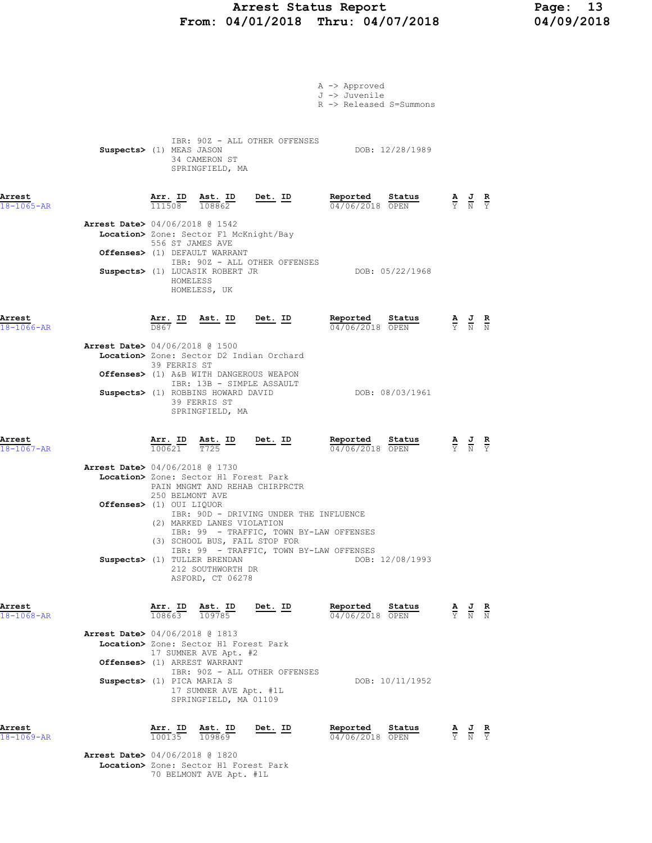# Arrest Status Report 13<br>04/01/2018 Thru: 04/07/2018 14/09/2018 From: 04/01/2018 Thru: 04/07/2018

|                            |                                          |                   |                                                                                                                                               |                                          | A -> Approved<br>J -> Juvenile<br>R -> Released S=Summons                                                                                           |                                                                                                 |                                                                                                       |  |
|----------------------------|------------------------------------------|-------------------|-----------------------------------------------------------------------------------------------------------------------------------------------|------------------------------------------|-----------------------------------------------------------------------------------------------------------------------------------------------------|-------------------------------------------------------------------------------------------------|-------------------------------------------------------------------------------------------------------|--|
|                            | Suspects> (1) MEAS JASON                 |                   | 34 CAMERON ST<br>SPRINGFIELD, MA                                                                                                              | IBR: 90Z - ALL OTHER OFFENSES            | DOB: 12/28/1989                                                                                                                                     |                                                                                                 |                                                                                                       |  |
| Arrest<br>$18 - 1065 - AR$ |                                          |                   | $\frac{\texttt{Arr. ID}}{111508}$ $\frac{\texttt{ Ast. ID}}{108862}$ Det. ID                                                                  |                                          | Reported Status<br>04/06/2018 OPEN                                                                                                                  |                                                                                                 | $\frac{\mathbf{A}}{\overline{Y}}$ $\frac{\mathbf{J}}{\overline{N}}$ $\frac{\mathbf{R}}{\overline{Y}}$ |  |
|                            | Arrest Date> 04/06/2018 @ 1542           | 556 ST JAMES AVE  | Location> Zone: Sector F1 McKnight/Bay                                                                                                        |                                          |                                                                                                                                                     |                                                                                                 |                                                                                                       |  |
|                            |                                          | HOMELESS          | Offenses> (1) DEFAULT WARRANT<br>Suspects> (1) LUCASIK ROBERT JR<br>HOMELESS, UK                                                              | IBR: 90Z - ALL OTHER OFFENSES            | DOB: 05/22/1968                                                                                                                                     |                                                                                                 |                                                                                                       |  |
| Arrest<br>$18 - 1066 - AR$ |                                          |                   |                                                                                                                                               |                                          | $\frac{\texttt{Arr.}}{\texttt{D867}}$ ID ast. ID Det. ID Reported $\frac{\texttt{Reported}}{\texttt{D4706700}}$<br><u>Status</u><br>04/06/2018 OPEN | $\frac{\mathbf{A}}{\mathbf{Y}}$ $\frac{\mathbf{J}}{\mathbf{N}}$ $\frac{\mathbf{R}}{\mathbf{N}}$ |                                                                                                       |  |
|                            | <b>Arrest Date&gt;</b> 04/06/2018 @ 1500 | 39 FERRIS ST      |                                                                                                                                               | Location> Zone: Sector D2 Indian Orchard |                                                                                                                                                     |                                                                                                 |                                                                                                       |  |
|                            |                                          |                   | Offenses> (1) A&B WITH DANGEROUS WEAPON<br>IBR: 13B - SIMPLE ASSAULT<br>Suspects> (1) ROBBINS HOWARD DAVID<br>39 FERRIS ST<br>SPRINGFIELD, MA |                                          | DOB: 08/03/1961                                                                                                                                     |                                                                                                 |                                                                                                       |  |
| Arrest<br>$18 - 1067 - AR$ |                                          |                   | $\frac{\texttt{Arr. ID}}{100621}$ $\frac{\texttt{ Ast. ID}}{T725}$ $\frac{\texttt{Det. ID}}{T725}$                                            |                                          | Reported Status<br>04/06/2018 OPEN                                                                                                                  |                                                                                                 | $\frac{\mathbf{A}}{\mathbf{Y}}$ $\frac{\mathbf{J}}{\mathbf{N}}$ $\frac{\mathbf{R}}{\mathbf{Y}}$       |  |
|                            | <b>Arrest Date&gt;</b> 04/06/2018 @ 1730 | 250 BELMONT AVE   | Location> Zone: Sector H1 Forest Park                                                                                                         | PAIN MNGMT AND REHAB CHIRPRCTR           |                                                                                                                                                     |                                                                                                 |                                                                                                       |  |
|                            | Offenses> (1) OUI LIQUOR                 |                   | (2) MARKED LANES VIOLATION<br>(3) SCHOOL BUS, FAIL STOP FOR                                                                                   | IBR: 90D - DRIVING UNDER THE INFLUENCE   | IBR: 99 - TRAFFIC, TOWN BY-LAW OFFENSES                                                                                                             |                                                                                                 |                                                                                                       |  |
|                            |                                          |                   | Suspects> (1) TULLER BRENDAN<br>212 SOUTHWORTH DR<br>ASFORD, CT 06278                                                                         |                                          | IBR: 99 - TRAFFIC, TOWN BY-LAW OFFENSES<br>DOB: 12/08/1993                                                                                          |                                                                                                 |                                                                                                       |  |
| Arrest<br>18-1068-AR       |                                          | 108663            | Arr. ID Ast. ID<br>109785                                                                                                                     | Det. ID                                  | Reported<br>Status<br>04/06/2018 OPEN                                                                                                               |                                                                                                 | $\frac{\mathbf{A}}{\mathbf{Y}}$ $\frac{\mathbf{J}}{\mathbf{N}}$ $\frac{\mathbf{R}}{\mathbf{N}}$       |  |
|                            | <b>Arrest Date&gt;</b> 04/06/2018 @ 1813 |                   | Location> Zone: Sector H1 Forest Park<br>17 SUMNER AVE Apt. #2                                                                                |                                          |                                                                                                                                                     |                                                                                                 |                                                                                                       |  |
|                            | Suspects> (1) PICA MARIA S               |                   | Offenses> (1) ARREST WARRANT<br>17 SUMNER AVE Apt. #1L<br>SPRINGFIELD, MA 01109                                                               | IBR: 90Z - ALL OTHER OFFENSES            | DOB: 10/11/1952                                                                                                                                     |                                                                                                 |                                                                                                       |  |
| Arrest<br>$18 - 1069 - AR$ |                                          | Arr. ID<br>100135 | Ast. ID<br>109869                                                                                                                             | Det. ID                                  | Reported<br>Status<br>04/06/2018 OPEN                                                                                                               |                                                                                                 | $\frac{\mathbf{A}}{\mathbf{Y}}$ $\frac{\mathbf{J}}{\mathbf{N}}$ $\frac{\mathbf{R}}{\mathbf{Y}}$       |  |
|                            | <b>Arrest Date&gt;</b> 04/06/2018 @ 1820 |                   |                                                                                                                                               |                                          |                                                                                                                                                     |                                                                                                 |                                                                                                       |  |

Location> Zone: Sector H1 Forest Park

70 BELMONT AVE Apt. #1L